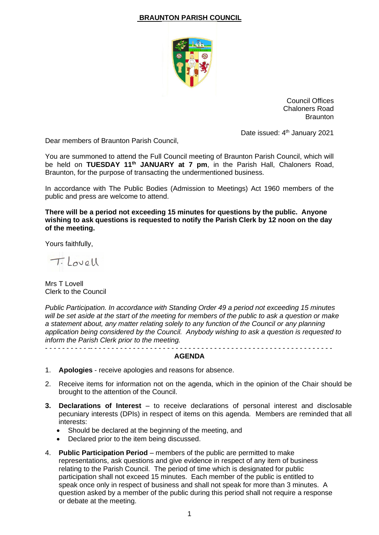## **BRAUNTON PARISH COUNCIL**



Council Offices Chaloners Road **Braunton** 

Date issued: 4<sup>th</sup> January 2021

Dear members of Braunton Parish Council,

You are summoned to attend the Full Council meeting of Braunton Parish Council, which will be held on **TUESDAY 11th JANUARY at 7 pm**, in the Parish Hall, Chaloners Road, Braunton, for the purpose of transacting the undermentioned business.

In accordance with The Public Bodies (Admission to Meetings) Act 1960 members of the public and press are welcome to attend.

**There will be a period not exceeding 15 minutes for questions by the public. Anyone wishing to ask questions is requested to notify the Parish Clerk by 12 noon on the day of the meeting.**

Yours faithfully,

T. Lovell

Mrs T Lovell Clerk to the Council

*Public Participation. In accordance with Standing Order 49 a period not exceeding 15 minutes will be set aside at the start of the meeting for members of the public to ask a question or make a statement about, any matter relating solely to any function of the Council or any planning application being considered by the Council. Anybody wishing to ask a question is requested to inform the Parish Clerk prior to the meeting.* - - - - - - - - - - -- - - - - - - - - - - - - - - - - - - - - - - - - - - - - - - - - - - - - - - - - - - - - - - - - - - - - - - - -

**AGENDA**

- 1. **Apologies** receive apologies and reasons for absence.
- 2. Receive items for information not on the agenda, which in the opinion of the Chair should be brought to the attention of the Council.
- **3. Declarations of Interest** to receive declarations of personal interest and disclosable pecuniary interests (DPIs) in respect of items on this agenda. Members are reminded that all interests:
	- Should be declared at the beginning of the meeting, and
	- Declared prior to the item being discussed.
- 4. **Public Participation Period** members of the public are permitted to make representations, ask questions and give evidence in respect of any item of business relating to the Parish Council. The period of time which is designated for public participation shall not exceed 15 minutes. Each member of the public is entitled to speak once only in respect of business and shall not speak for more than 3 minutes. A question asked by a member of the public during this period shall not require a response or debate at the meeting.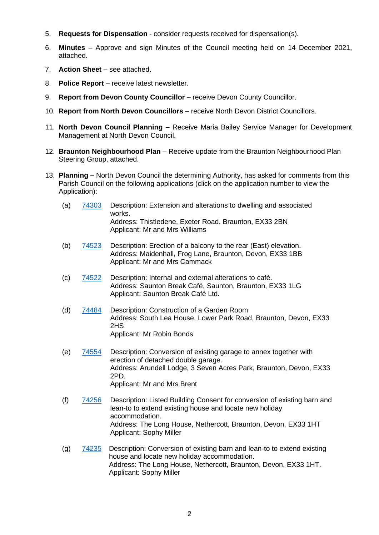- 5. **Requests for Dispensation** consider requests received for dispensation(s).
- 6. **Minutes** Approve and sign Minutes of the Council meeting held on 14 December 2021, attached.
- 7. **Action Sheet** see attached.
- 8. **Police Report** receive latest newsletter.
- 9. **Report from Devon County Councillor** receive Devon County Councillor.
- 10. **Report from North Devon Councillors** receive North Devon District Councillors.
- 11. **North Devon Council Planning –** Receive Maria Bailey Service Manager for Development Management at North Devon Council.
- 12. **Braunton Neighbourhood Plan** Receive update from the Braunton Neighbourhood Plan Steering Group, attached.
- 13. **Planning –** North Devon Council the determining Authority, has asked for comments from this Parish Council on the following applications (click on the application number to view the Application):
	- (a) [74303](https://planning.northdevon.gov.uk/Planning/Display/74303) Description: Extension and alterations to dwelling and associated works. Address: Thistledene, Exeter Road, Braunton, EX33 2BN Applicant: Mr and Mrs Williams
	- (b) [74523](https://planning.northdevon.gov.uk/Planning/Display/74523) Description: Erection of a balcony to the rear (East) elevation. Address: Maidenhall, Frog Lane, Braunton, Devon, EX33 1BB Applicant: Mr and Mrs Cammack
	- (c) [74522](https://planning.northdevon.gov.uk/Planning/Display/74522) Description: Internal and external alterations to café. Address: Saunton Break Café, Saunton, Braunton, EX33 1LG Applicant: Saunton Break Café Ltd.
	- (d) [74484](https://planning.northdevon.gov.uk/Planning/Display/74484) Description: Construction of a Garden Room Address: South Lea House, Lower Park Road, Braunton, Devon, EX33 2HS Applicant: Mr Robin Bonds
	- (e) [74554](https://planning.northdevon.gov.uk/Planning/Display/74554) Description: Conversion of existing garage to annex together with erection of detached double garage. Address: Arundell Lodge, 3 Seven Acres Park, Braunton, Devon, EX33 2PD. Applicant: Mr and Mrs Brent
	- (f) [74256](https://planning.northdevon.gov.uk/Planning/Display/74256) Description: Listed Building Consent for conversion of existing barn and lean-to to extend existing house and locate new holiday accommodation. Address: The Long House, Nethercott, Braunton, Devon, EX33 1HT Applicant: Sophy Miller
	- (g) [74235](https://planning.northdevon.gov.uk/Planning/Display/74235) Description: Conversion of existing barn and lean-to to extend existing house and locate new holiday accommodation. Address: The Long House, Nethercott, Braunton, Devon, EX33 1HT. Applicant: Sophy Miller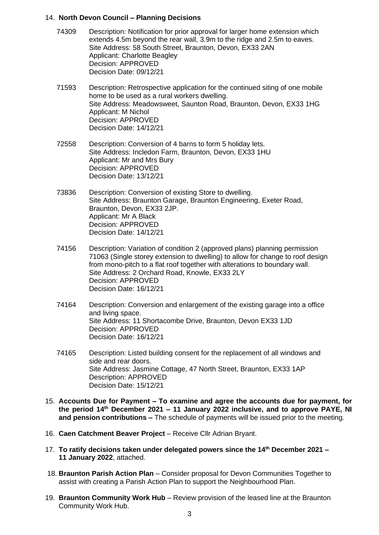## 14. **North Devon Council – Planning Decisions**

- 74309 Description: Notification for prior approval for larger home extension which extends 4.5m beyond the rear wall, 3.9m to the ridge and 2.5m to eaves. Site Address: 58 South Street, Braunton, Devon, EX33 2AN Applicant: Charlotte Beagley Decision: APPROVED Decision Date: 09/12/21
- 71593 Description: Retrospective application for the continued siting of one mobile home to be used as a rural workers dwelling. Site Address: Meadowsweet, Saunton Road, Braunton, Devon, EX33 1HG Applicant: M Nichol Decision: APPROVED Decision Date: 14/12/21
- 72558 Description: Conversion of 4 barns to form 5 holiday lets. Site Address: Incledon Farm, Braunton, Devon, EX33 1HU Applicant: Mr and Mrs Bury Decision: APPROVED Decision Date: 13/12/21
- 73836 Description: Conversion of existing Store to dwelling. Site Address: Braunton Garage, Braunton Engineering, Exeter Road, Braunton, Devon, EX33 2JP. Applicant: Mr A Black Decision: APPROVED Decision Date: 14/12/21
- 74156 Description: Variation of condition 2 (approved plans) planning permission 71063 (Single storey extension to dwelling) to allow for change to roof design from mono-pitch to a flat roof together with alterations to boundary wall. Site Address: 2 Orchard Road, Knowle, EX33 2LY Decision: APPROVED Decision Date: 16/12/21
- 74164 Description: Conversion and enlargement of the existing garage into a office and living space. Site Address: 11 Shortacombe Drive, Braunton, Devon EX33 1JD Decision: APPROVED Decision Date: 16/12/21
- 74165 Description: Listed building consent for the replacement of all windows and side and rear doors. Site Address: Jasmine Cottage, 47 North Street, Braunton, EX33 1AP Description: APPROVED Decision Date: 15/12/21
- 15. **Accounts Due for Payment – To examine and agree the accounts due for payment, for the period 14 th December 2021 – 11 January 2022 inclusive, and to approve PAYE, NI and pension contributions –** The schedule of payments will be issued prior to the meeting.
- 16. **Caen Catchment Beaver Project** Receive Cllr Adrian Bryant.
- 17. **To ratify decisions taken under delegated powers since the 14 th December 2021 – 11 January 2022**, attached.
- 18. **Braunton Parish Action Plan** Consider proposal for Devon Communities Together to assist with creating a Parish Action Plan to support the Neighbourhood Plan.
- 19. **Braunton Community Work Hub** Review provision of the leased line at the Braunton Community Work Hub.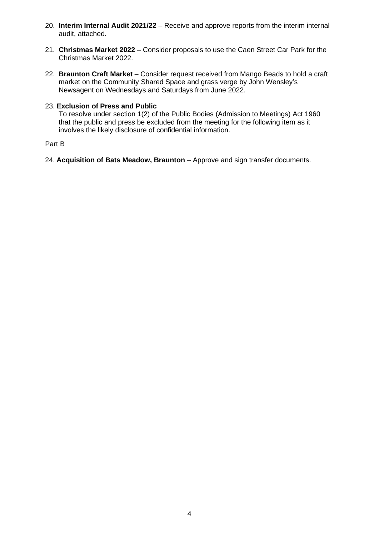- 20. **Interim Internal Audit 2021/22** Receive and approve reports from the interim internal audit, attached.
- 21. **Christmas Market 2022** Consider proposals to use the Caen Street Car Park for the Christmas Market 2022.
- 22. **Braunton Craft Market** Consider request received from Mango Beads to hold a craft market on the Community Shared Space and grass verge by John Wensley's Newsagent on Wednesdays and Saturdays from June 2022.

## 23. **Exclusion of Press and Public**

To resolve under section 1(2) of the Public Bodies (Admission to Meetings) Act 1960 that the public and press be excluded from the meeting for the following item as it involves the likely disclosure of confidential information.

## Part B

24. **Acquisition of Bats Meadow, Braunton** – Approve and sign transfer documents.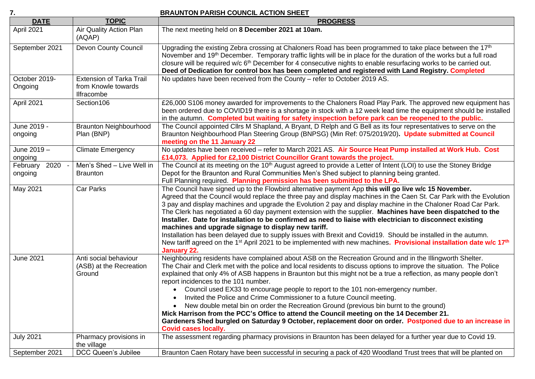**7. BRAUNTON PARISH COUNCIL ACTION SHEET**

| . .                        |                                                                             | <u> ANDRE ANDRE AUTOROPIS AU TON UILLET</u>                                                                                                                                                                                                                                                                                                                                                                                                                                                                                                                                                                                                                                                                                                                                                                                                                                                                               |
|----------------------------|-----------------------------------------------------------------------------|---------------------------------------------------------------------------------------------------------------------------------------------------------------------------------------------------------------------------------------------------------------------------------------------------------------------------------------------------------------------------------------------------------------------------------------------------------------------------------------------------------------------------------------------------------------------------------------------------------------------------------------------------------------------------------------------------------------------------------------------------------------------------------------------------------------------------------------------------------------------------------------------------------------------------|
| <b>DATE</b>                | <b>TOPIC</b>                                                                | <b>PROGRESS</b>                                                                                                                                                                                                                                                                                                                                                                                                                                                                                                                                                                                                                                                                                                                                                                                                                                                                                                           |
| April 2021                 | Air Quality Action Plan<br>(AQAP)                                           | The next meeting held on 8 December 2021 at 10am.                                                                                                                                                                                                                                                                                                                                                                                                                                                                                                                                                                                                                                                                                                                                                                                                                                                                         |
| September 2021             | Devon County Council                                                        | Upgrading the existing Zebra crossing at Chaloners Road has been programmed to take place between the 17 <sup>th</sup><br>November and 19 <sup>th</sup> December. Temporary traffic lights will be in place for the duration of the works but a full road<br>closure will be required w/c 6 <sup>th</sup> December for 4 consecutive nights to enable resurfacing works to be carried out.<br>Deed of Dedication for control box has been completed and registered with Land Registry. Completed                                                                                                                                                                                                                                                                                                                                                                                                                          |
| October 2019-<br>Ongoing   | <b>Extension of Tarka Trail</b><br>from Knowle towards<br><b>Ilfracombe</b> | No updates have been received from the County - refer to October 2019 AS.                                                                                                                                                                                                                                                                                                                                                                                                                                                                                                                                                                                                                                                                                                                                                                                                                                                 |
| April 2021                 | Section106                                                                  | £26,000 S106 money awarded for improvements to the Chaloners Road Play Park. The approved new equipment has<br>been ordered due to COVID19 there is a shortage in stock with a 12 week lead time the equipment should be installed<br>in the autumn. Completed but waiting for safety inspection before park can be reopened to the public.                                                                                                                                                                                                                                                                                                                                                                                                                                                                                                                                                                               |
| June 2019 -<br>ongoing     | <b>Braunton Neighbourhood</b><br>Plan (BNP)                                 | The Council appointed Cllrs M Shapland, A Bryant, D Relph and G Bell as its four representatives to serve on the<br>Braunton Neighbourhood Plan Steering Group (BNPSG) (Min Ref: 075/2019/20). Update submitted at Council<br>meeting on the 11 January 22                                                                                                                                                                                                                                                                                                                                                                                                                                                                                                                                                                                                                                                                |
| June 2019 -<br>ongoing     | <b>Climate Emergency</b>                                                    | No updates have been received - refer to March 2021 AS. Air Source Heat Pump installed at Work Hub. Cost<br>£14,073. Applied for £2,100 District Councillor Grant towards the project.                                                                                                                                                                                                                                                                                                                                                                                                                                                                                                                                                                                                                                                                                                                                    |
| February 2020 -<br>ongoing | Men's Shed - Live Well in<br><b>Braunton</b>                                | The Council at its meeting on the 10 <sup>th</sup> August agreed to provide a Letter of Intent (LOI) to use the Stoney Bridge<br>Depot for the Braunton and Rural Communities Men's Shed subject to planning being granted.<br>Full Planning required. Planning permission has been submitted to the LPA.                                                                                                                                                                                                                                                                                                                                                                                                                                                                                                                                                                                                                 |
| May 2021                   | Car Parks                                                                   | The Council have signed up to the Flowbird alternative payment App this will go live w/c 15 November.<br>Agreed that the Council would replace the three pay and display machines in the Caen St. Car Park with the Evolution<br>3 pay and display machines and upgrade the Evolution 2 pay and display machine in the Chaloner Road Car Park.<br>The Clerk has negotiated a 60 day payment extension with the supplier. Machines have been dispatched to the<br>Installer. Date for installation to be confirmed as need to liaise with electrician to disconnect existing<br>machines and upgrade signage to display new tariff.<br>Installation has been delayed due to supply issues with Brexit and Covid19. Should be installed in the autumn.<br>New tariff agreed on the 1 <sup>st</sup> April 2021 to be implemented with new machines. Provisional installation date w/c 17 <sup>th</sup><br><b>January 22.</b> |
| June 2021                  | Anti social behaviour<br>(ASB) at the Recreation<br>Ground                  | Neighbouring residents have complained about ASB on the Recreation Ground and in the Illingworth Shelter.<br>The Chair and Clerk met with the police and local residents to discuss options to improve the situation. The Police<br>explained that only 4% of ASB happens in Braunton but this might not be a true a reflection, as many people don't<br>report incidences to the 101 number.<br>Council used EX33 to encourage people to report to the 101 non-emergency number.<br>Invited the Police and Crime Commissioner to a future Council meeting.<br>New double metal bin on order the Recreation Ground (previous bin burnt to the ground)<br>$\bullet$<br>Mick Harrison from the PCC's Office to attend the Council meeting on the 14 December 21.<br>Gardeners Shed burgled on Saturday 9 October, replacement door on order. Postponed due to an increase in<br><b>Covid cases locally.</b>                 |
| <b>July 2021</b>           | Pharmacy provisions in<br>the village                                       | The assessment regarding pharmacy provisions in Braunton has been delayed for a further year due to Covid 19.                                                                                                                                                                                                                                                                                                                                                                                                                                                                                                                                                                                                                                                                                                                                                                                                             |
| September 2021             | DCC Queen's Jubilee                                                         | Braunton Caen Rotary have been successful in securing a pack of 420 Woodland Trust trees that will be planted on                                                                                                                                                                                                                                                                                                                                                                                                                                                                                                                                                                                                                                                                                                                                                                                                          |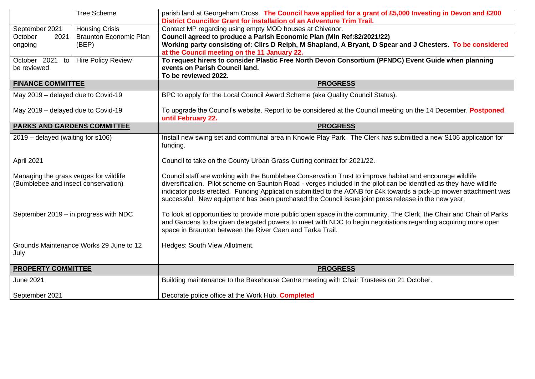|                                                                               | <b>Tree Scheme</b>            | parish land at Georgeham Cross. The Council have applied for a grant of £5,000 Investing in Devon and £200                                                                                                                                                                                                                                                                                                                                                    |
|-------------------------------------------------------------------------------|-------------------------------|---------------------------------------------------------------------------------------------------------------------------------------------------------------------------------------------------------------------------------------------------------------------------------------------------------------------------------------------------------------------------------------------------------------------------------------------------------------|
|                                                                               |                               | District Councillor Grant for installation of an Adventure Trim Trail.                                                                                                                                                                                                                                                                                                                                                                                        |
| September 2021                                                                | <b>Housing Crisis</b>         | Contact MP regarding using empty MOD houses at Chivenor.                                                                                                                                                                                                                                                                                                                                                                                                      |
| 2021<br>October                                                               | <b>Braunton Economic Plan</b> | Council agreed to produce a Parish Economic Plan (Min Ref:82/2021/22)                                                                                                                                                                                                                                                                                                                                                                                         |
| ongoing                                                                       | (BEP)                         | Working party consisting of: Cllrs D Relph, M Shapland, A Bryant, D Spear and J Chesters. To be considered                                                                                                                                                                                                                                                                                                                                                    |
|                                                                               |                               | at the Council meeting on the 11 January 22.                                                                                                                                                                                                                                                                                                                                                                                                                  |
| October 2021 to                                                               | <b>Hire Policy Review</b>     | To request hirers to consider Plastic Free North Devon Consortium (PFNDC) Event Guide when planning                                                                                                                                                                                                                                                                                                                                                           |
| be reviewed                                                                   |                               | events on Parish Council land.                                                                                                                                                                                                                                                                                                                                                                                                                                |
|                                                                               |                               | To be reviewed 2022.                                                                                                                                                                                                                                                                                                                                                                                                                                          |
| <b>FINANCE COMMITTEE</b>                                                      |                               | <b>PROGRESS</b>                                                                                                                                                                                                                                                                                                                                                                                                                                               |
| May 2019 - delayed due to Covid-19                                            |                               | BPC to apply for the Local Council Award Scheme (aka Quality Council Status).                                                                                                                                                                                                                                                                                                                                                                                 |
| May 2019 - delayed due to Covid-19                                            |                               | To upgrade the Council's website. Report to be considered at the Council meeting on the 14 December. Postponed<br>until February 22.                                                                                                                                                                                                                                                                                                                          |
| <b>PARKS AND GARDENS COMMITTEE</b>                                            |                               | <b>PROGRESS</b>                                                                                                                                                                                                                                                                                                                                                                                                                                               |
| 2019 – delayed (waiting for s106)                                             |                               | Install new swing set and communal area in Knowle Play Park. The Clerk has submitted a new S106 application for<br>funding.                                                                                                                                                                                                                                                                                                                                   |
| April 2021                                                                    |                               | Council to take on the County Urban Grass Cutting contract for 2021/22.                                                                                                                                                                                                                                                                                                                                                                                       |
| Managing the grass verges for wildlife<br>(Bumblebee and insect conservation) |                               | Council staff are working with the Bumblebee Conservation Trust to improve habitat and encourage wildlife<br>diversification. Pilot scheme on Saunton Road - verges included in the pilot can be identified as they have wildlife<br>indicator posts erected. Funding Application submitted to the AONB for £4k towards a pick-up mower attachment was<br>successful. New equipment has been purchased the Council issue joint press release in the new year. |
| September 2019 - in progress with NDC                                         |                               | To look at opportunities to provide more public open space in the community. The Clerk, the Chair and Chair of Parks<br>and Gardens to be given delegated powers to meet with NDC to begin negotiations regarding acquiring more open<br>space in Braunton between the River Caen and Tarka Trail.                                                                                                                                                            |
| Grounds Maintenance Works 29 June to 12<br>July                               |                               | Hedges: South View Allotment.                                                                                                                                                                                                                                                                                                                                                                                                                                 |
| <b>PROPERTY COMMITTEE</b>                                                     |                               | <b>PROGRESS</b>                                                                                                                                                                                                                                                                                                                                                                                                                                               |
| <b>June 2021</b>                                                              |                               | Building maintenance to the Bakehouse Centre meeting with Chair Trustees on 21 October.                                                                                                                                                                                                                                                                                                                                                                       |
| September 2021                                                                |                               | Decorate police office at the Work Hub. Completed                                                                                                                                                                                                                                                                                                                                                                                                             |